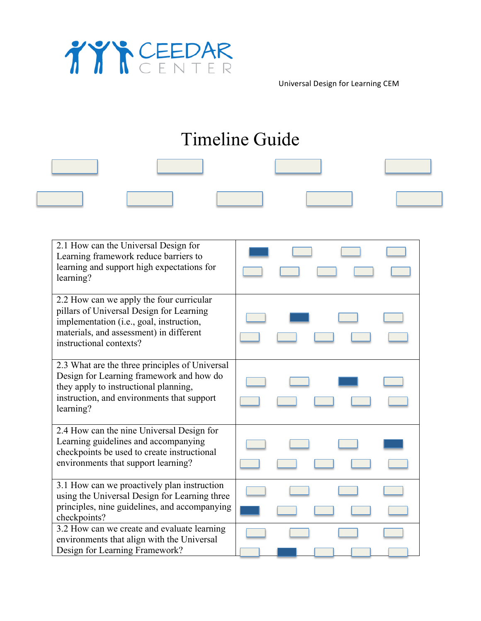

Universal Design for Learning CEM

## Timeline Guide

| 2.1 How can the Universal Design for                                                           |  |
|------------------------------------------------------------------------------------------------|--|
| Learning framework reduce barriers to<br>learning and support high expectations for            |  |
| learning?                                                                                      |  |
|                                                                                                |  |
| 2.2 How can we apply the four curricular                                                       |  |
| pillars of Universal Design for Learning                                                       |  |
| implementation (i.e., goal, instruction,<br>materials, and assessment) in different            |  |
| instructional contexts?                                                                        |  |
|                                                                                                |  |
| 2.3 What are the three principles of Universal                                                 |  |
| Design for Learning framework and how do<br>they apply to instructional planning,              |  |
| instruction, and environments that support                                                     |  |
| learning?                                                                                      |  |
|                                                                                                |  |
| 2.4 How can the nine Universal Design for                                                      |  |
| Learning guidelines and accompanying<br>checkpoints be used to create instructional            |  |
| environments that support learning?                                                            |  |
|                                                                                                |  |
| 3.1 How can we proactively plan instruction                                                    |  |
| using the Universal Design for Learning three<br>principles, nine guidelines, and accompanying |  |
| checkpoints?                                                                                   |  |
| 3.2 How can we create and evaluate learning                                                    |  |
| environments that align with the Universal                                                     |  |
| Design for Learning Framework?                                                                 |  |